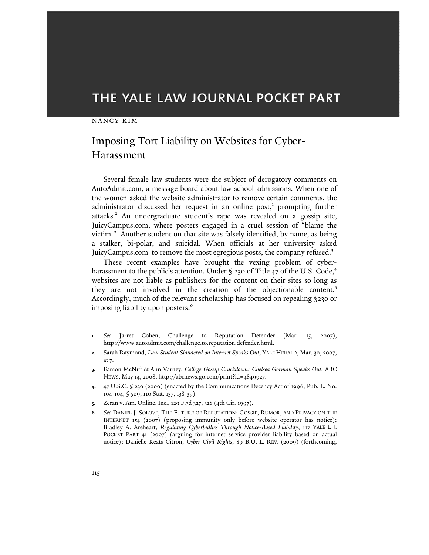# THE YALE LAW JOURNAL POCKET PART

#### nancy kim

# Imposing Tort Liability on Websites for Cyber-Harassment

Several female law students were the subject of derogatory comments on AutoAdmit.com, a message board about law school admissions. When one of the women asked the website administrator to remove certain comments, the administrator discussed her request in an online post,<sup>1</sup> prompting further attacks.<sup>2</sup> An undergraduate student's rape was revealed on a gossip site, JuicyCampus.com, where posters engaged in a cruel session of "blame the victim." Another student on that site was falsely identified, by name, as being a stalker, bi-polar, and suicidal. When officials at her university asked JuicyCampus.com to remove the most egregious posts, the company refused.<sup>3</sup>

These recent examples have brought the vexing problem of cyberharassment to the public's attention. Under § 230 of Title 47 of the U.S. Code,<sup>4</sup> websites are not liable as publishers for the content on their sites so long as they are not involved in the creation of the objectionable content.<sup>5</sup> Accordingly, much of the relevant scholarship has focused on repealing §230 or imposing liability upon posters.<sup>6</sup>

- **1.** *See* Jarret Cohen, Challenge to Reputation Defender (Mar. 15, 2007), http://www.autoadmit.com/challenge.to.reputation.defender.html.
- **2.** Sarah Raymond, *Law Student Slandered on Internet Speaks Out*, YALE HERALD, Mar. 30, 2007, at 7.
- **3.** Eamon McNiff & Ann Varney, *College Gossip Crackdown: Chelsea Gorman Speaks Out*, ABC NEWS, May 14, 2008, http://abcnews.go.com/print?id=4849927.
- **4.** 47 U.S.C. § 230 (2000) (enacted by the Communications Decency Act of 1996, Pub. L. No. 104-104, § 509, 110 Stat. 137, 138-39).
- **5.** Zeran v. Am. Online, Inc., 129 F.3d 327, 328 (4th Cir. 1997).
- **6.** *See* DANIEL J. SOLOVE, THE FUTURE OF REPUTATION: GOSSIP, RUMOR, AND PRIVACY ON THE INTERNET 154 (2007) (proposing immunity only before website operator has notice); Bradley A. Areheart, *Regulating Cyberbullies Through Notice-Based Liability*, 117 YALE L.J. POCKET PART 41 (2007) (arguing for internet service provider liability based on actual notice); Danielle Keats Citron, *Cyber Civil Rights*, 89 B.U. L. REV. (2009) (forthcoming,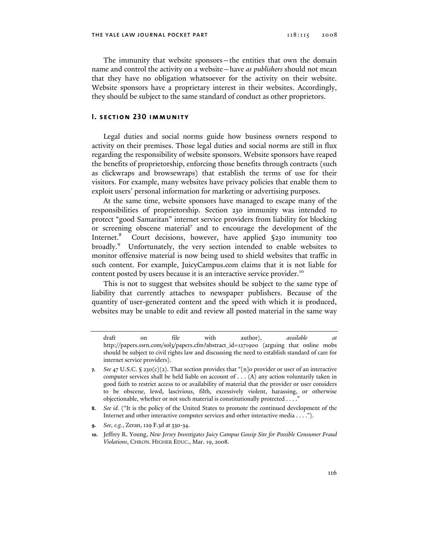The immunity that website sponsors—the entities that own the domain name and control the activity on a website—have *as publishers* should not mean that they have no obligation whatsoever for the activity on their website. Website sponsors have a proprietary interest in their websites. Accordingly, they should be subject to the same standard of conduct as other proprietors.

### **I. section 230 immunity**

Legal duties and social norms guide how business owners respond to activity on their premises. Those legal duties and social norms are still in flux regarding the responsibility of website sponsors. Website sponsors have reaped the benefits of proprietorship, enforcing those benefits through contracts (such as clickwraps and browsewraps) that establish the terms of use for their visitors. For example, many websites have privacy policies that enable them to exploit users' personal information for marketing or advertising purposes.

At the same time, website sponsors have managed to escape many of the responsibilities of proprietorship. Section 230 immunity was intended to protect "good Samaritan" internet service providers from liability for blocking or screening obscene material<sup>7</sup> and to encourage the development of the Internet.<sup>8</sup> Court decisions, however, have applied §230 immunity too broadly.<sup>9</sup> Unfortunately, the very section intended to enable websites to monitor offensive material is now being used to shield websites that traffic in such content. For example, JuicyCampus.com claims that it is not liable for content posted by users because it is an interactive service provider.<sup>10</sup>

This is not to suggest that websites should be subject to the same type of liability that currently attaches to newspaper publishers. Because of the quantity of user-generated content and the speed with which it is produced, websites may be unable to edit and review all posted material in the same way

draft on file with author), *available at*  http://papers.ssrn.com/sol3/papers.cfm?abstract\_id=1271900 (arguing that online mobs should be subject to civil rights law and discussing the need to establish standard of care for internet service providers).

**<sup>7.</sup>** See 47 U.S.C. § 230(c)(2). That section provides that "[n]o provider or user of an interactive computer services shall be held liable on account of . . . (A) any action voluntarily taken in good faith to restrict access to or availability of material that the provider or user considers to be obscene, lewd, lascivious, filth, excessively violent, harassing, or otherwise objectionable, whether or not such material is constitutionally protected . . . . "

**<sup>8.</sup>** *See id.* ("It is the policy of the United States to promote the continued development of the Internet and other interactive computer services and other interactive media . . . .").

**<sup>9.</sup>** *See, e.g.*, Zeran, 129 F.3d at 330-34.

**<sup>10.</sup>** Jeffrey R. Young, *New Jersey Investigates Juicy Campus Gossip Site for Possible Consumer Fraud Violations*, CHRON. HIGHER EDUC., Mar. 19, 2008.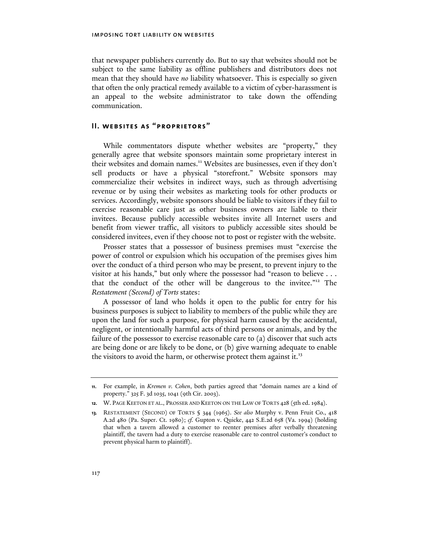that newspaper publishers currently do. But to say that websites should not be subject to the same liability as offline publishers and distributors does not mean that they should have *no* liability whatsoever. This is especially so given that often the only practical remedy available to a victim of cyber-harassment is an appeal to the website administrator to take down the offending communication.

### **II. websites as "proprietors"**

While commentators dispute whether websites are "property," they generally agree that website sponsors maintain some proprietary interest in their websites and domain names.<sup>11</sup> Websites are businesses, even if they don't sell products or have a physical "storefront." Website sponsors may commercialize their websites in indirect ways, such as through advertising revenue or by using their websites as marketing tools for other products or services. Accordingly, website sponsors should be liable to visitors if they fail to exercise reasonable care just as other business owners are liable to their invitees. Because publicly accessible websites invite all Internet users and benefit from viewer traffic, all visitors to publicly accessible sites should be considered invitees, even if they choose not to post or register with the website.

Prosser states that a possessor of business premises must "exercise the power of control or expulsion which his occupation of the premises gives him over the conduct of a third person who may be present, to prevent injury to the visitor at his hands," but only where the possessor had "reason to believe . . . that the conduct of the other will be dangerous to the invitee."12 The *Restatement (Second) of Torts* states:

A possessor of land who holds it open to the public for entry for his business purposes is subject to liability to members of the public while they are upon the land for such a purpose, for physical harm caused by the accidental, negligent, or intentionally harmful acts of third persons or animals, and by the failure of the possessor to exercise reasonable care to (a) discover that such acts are being done or are likely to be done, or (b) give warning adequate to enable the visitors to avoid the harm, or otherwise protect them against it.<sup>13</sup>

**<sup>11.</sup>** For example, in *Kremen v. Cohen*, both parties agreed that "domain names are a kind of property." 325 F. 3d 1035, 1041 (9th Cir. 2003).

**<sup>12.</sup>** W. PAGE KEETON ET AL., PROSSER AND KEETON ON THE LAW OF TORTS 428 (5th ed. 1984).

**<sup>13.</sup>** RESTATEMENT (SECOND) OF TORTS § 344 (1965). *See also* Murphy v. Penn Fruit Co., 418 A.2d 480 (Pa. Super. Ct. 1980); *cf.* Gupton v. Quicke, 442 S.E.2d 658 (Va. 1994) (holding that when a tavern allowed a customer to reenter premises after verbally threatening plaintiff, the tavern had a duty to exercise reasonable care to control customer's conduct to prevent physical harm to plaintiff).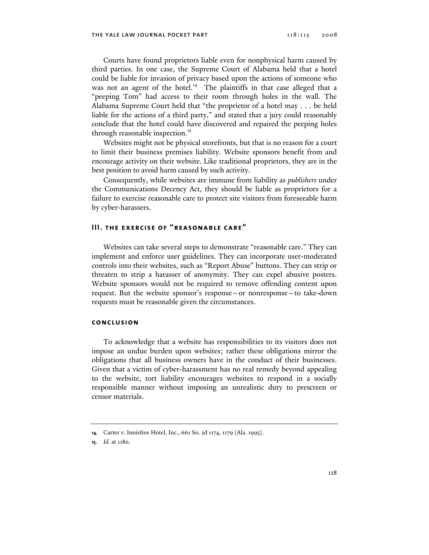Courts have found proprietors liable even for nonphysical harm caused by third parties. In one case, the Supreme Court of Alabama held that a hotel could be liable for invasion of privacy based upon the actions of someone who was not an agent of the hotel.<sup>14</sup> The plaintiffs in that case alleged that a "peeping Tom" had access to their room through holes in the wall. The Alabama Supreme Court held that "the proprietor of a hotel may . . . be held liable for the actions of a third party," and stated that a jury could reasonably conclude that the hotel could have discovered and repaired the peeping holes through reasonable inspection.<sup>15</sup>

Websites might not be physical storefronts, but that is no reason for a court to limit their business premises liability. Website sponsors benefit from and encourage activity on their website. Like traditional proprietors, they are in the best position to avoid harm caused by such activity.

Consequently, while websites are immune from liability as *publishers* under the Communications Decency Act, they should be liable as proprietors for a failure to exercise reasonable care to protect site visitors from foreseeable harm by cyber-harassers.

## **III. the exercise of "reasonable care"**

Websites can take several steps to demonstrate "reasonable care." They can implement and enforce user guidelines. They can incorporate user-moderated controls into their websites, such as "Report Abuse" buttons. They can strip or threaten to strip a harasser of anonymity. They can expel abusive posters. Website sponsors would not be required to remove offending content upon request. But the website sponsor's response—or nonresponse—to take-down requests must be reasonable given the circumstances.

#### **conclusion**

To acknowledge that a website has responsibilities to its visitors does not impose an undue burden upon websites; rather these obligations mirror the obligations that all business owners have in the conduct of their businesses. Given that a victim of cyber-harassment has no real remedy beyond appealing to the website, tort liability encourages websites to respond in a socially responsible manner without imposing an unrealistic duty to prescreen or censor materials.

**<sup>14.</sup>** Carter v. Innisfree Hotel, Inc., 661 So. 2d 1174, 1179 (Ala. 1995).

**<sup>15.</sup>** *Id.* at 1180.